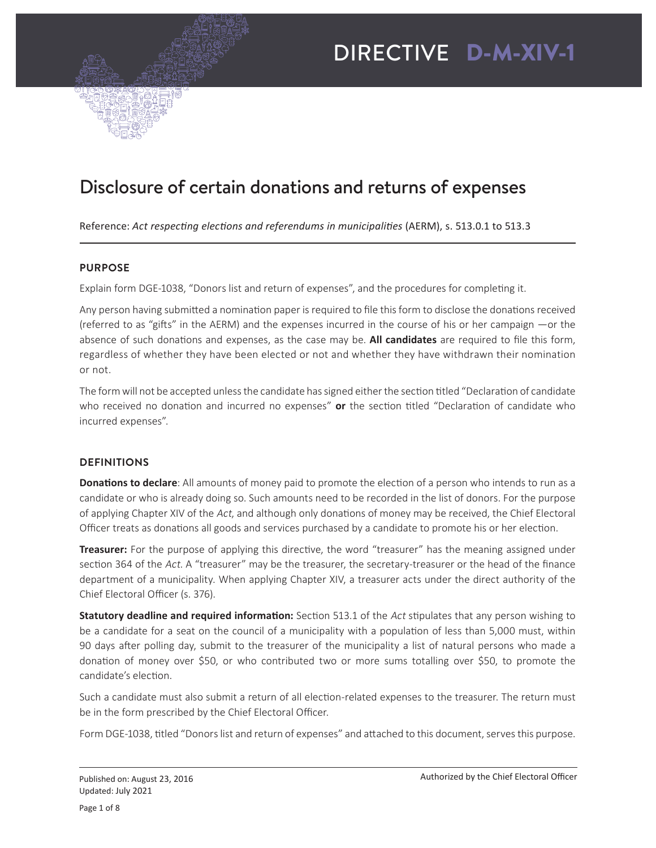

# Disclosure of certain donations and returns of expenses

Reference: *Act respecting elections and referendums in municipalities* (AERM), s. 513.0.1 to 513.3

### **PURPOSE**

Explain form DGE-1038, "Donors list and return of expenses", and the procedures for completing it.

Any person having submitted a nomination paper is required to file this form to disclose the donations received (referred to as "gifts" in the AERM) and the expenses incurred in the course of his or her campaign —or the absence of such donations and expenses, as the case may be. **All candidates** are required to file this form, regardless of whether they have been elected or not and whether they have withdrawn their nomination or not.

The form will not be accepted unless the candidate has signed either the section titled "Declaration of candidate who received no donation and incurred no expenses" **or** the section titled "Declaration of candidate who incurred expenses".

# **DEFINITIONS**

**Donations to declare**: All amounts of money paid to promote the election of a person who intends to run as a candidate or who is already doing so. Such amounts need to be recorded in the list of donors. For the purpose of applying Chapter XIV of the Act, and although only donations of money may be received, the Chief Electoral Officer treats as donations all goods and services purchased by a candidate to promote his or her election.

**Treasurer:** For the purpose of applying this directive, the word "treasurer" has the meaning assigned under section 364 of the Act. A "treasurer" may be the treasurer, the secretary-treasurer or the head of the finance department of a municipality. When applying Chapter XIV, a treasurer acts under the direct authority of the Chief Electoral Officer (s. 376).

**Statutory deadline and required information:** Section 513.1 of the Act stipulates that any person wishing to be a candidate for a seat on the council of a municipality with a population of less than 5,000 must, within 90 days after polling day, submit to the treasurer of the municipality a list of natural persons who made a donation of money over \$50, or who contributed two or more sums totalling over \$50, to promote the candidate's election.

Such a candidate must also submit a return of all election-related expenses to the treasurer. The return must be in the form prescribed by the Chief Electoral Officer.

Form DGE-1038, titled "Donors list and return of expenses" and attached to this document, serves this purpose.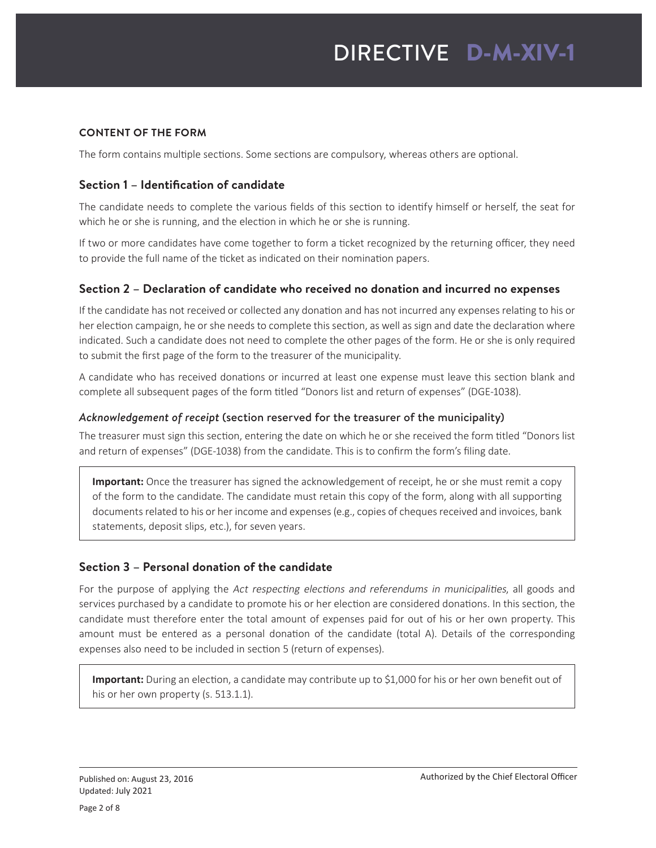# **CONTENT OF THE FORM**

The form contains multiple sections. Some sections are compulsory, whereas others are optional.

# **Section 1 – Identification of candidate**

The candidate needs to complete the various fields of this section to identify himself or herself, the seat for which he or she is running, and the election in which he or she is running.

If two or more candidates have come together to form a ticket recognized by the returning officer, they need to provide the full name of the ticket as indicated on their nomination papers.

# **Section 2 – Declaration of candidate who received no donation and incurred no expenses**

If the candidate has not received or collected any donation and has not incurred any expenses relating to his or her election campaign, he or she needs to complete this section, as well as sign and date the declaration where indicated. Such a candidate does not need to complete the other pages of the form. He or she is only required to submit the first page of the form to the treasurer of the municipality.

A candidate who has received donations or incurred at least one expense must leave this section blank and complete all subsequent pages of the form titled "Donors list and return of expenses" (DGE-1038).

# *Acknowledgement of receipt* (section reserved for the treasurer of the municipality)

The treasurer must sign this section, entering the date on which he or she received the form titled "Donors list and return of expenses" (DGE-1038) from the candidate. This is to confirm the form's filing date.

**Important:** Once the treasurer has signed the acknowledgement of receipt, he or she must remit a copy of the form to the candidate. The candidate must retain this copy of the form, along with all supporting documents related to his or her income and expenses (e.g., copies of cheques received and invoices, bank statements, deposit slips, etc.), for seven years.

# **Section 3 – Personal donation of the candidate**

For the purpose of applying the Act respecting elections and referendums in municipalities, all goods and services purchased by a candidate to promote his or her election are considered donations. In this section, the candidate must therefore enter the total amount of expenses paid for out of his or her own property. This amount must be entered as a personal donation of the candidate (total A). Details of the corresponding expenses also need to be included in section 5 (return of expenses).

**Important:** During an election, a candidate may contribute up to \$1,000 for his or her own benefit out of his or her own property (s. 513.1.1).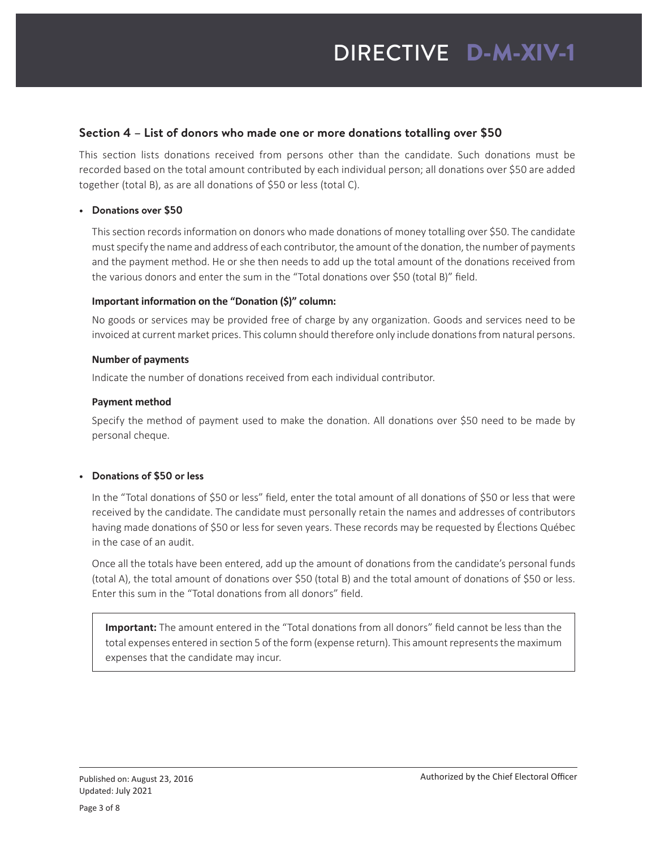### **Section 4 – List of donors who made one or more donations totalling over \$50**

This section lists donations received from persons other than the candidate. Such donations must be recorded based on the total amount contributed by each individual person; all donations over \$50 are added together (total B), as are all donations of \$50 or less (total C).

#### **• Donations over \$50**

This section records information on donors who made donations of money totalling over \$50. The candidate must specify the name and address of each contributor, the amount of the donation, the number of payments and the payment method. He or she then needs to add up the total amount of the donations received from the various donors and enter the sum in the "Total donations over \$50 (total B)" field.

#### **Important information on the "Donation (\$)" column:**

No goods or services may be provided free of charge by any organization. Goods and services need to be invoiced at current market prices. This column should therefore only include donations from natural persons.

#### **Number of payments**

Indicate the number of donations received from each individual contributor.

#### **Payment method**

Specify the method of payment used to make the donation. All donations over \$50 need to be made by personal cheque.

#### **• Donations of \$50 or less**

In the "Total donations of \$50 or less" field, enter the total amount of all donations of \$50 or less that were received by the candidate. The candidate must personally retain the names and addresses of contributors having made donations of \$50 or less for seven years. These records may be requested by Élections Québec in the case of an audit.

Once all the totals have been entered, add up the amount of donations from the candidate's personal funds (total A), the total amount of donations over \$50 (total B) and the total amount of donations of \$50 or less. Enter this sum in the "Total donations from all donors" field.

**Important:** The amount entered in the "Total donations from all donors" field cannot be less than the total expenses entered in section 5 of the form (expense return). This amount represents the maximum expenses that the candidate may incur.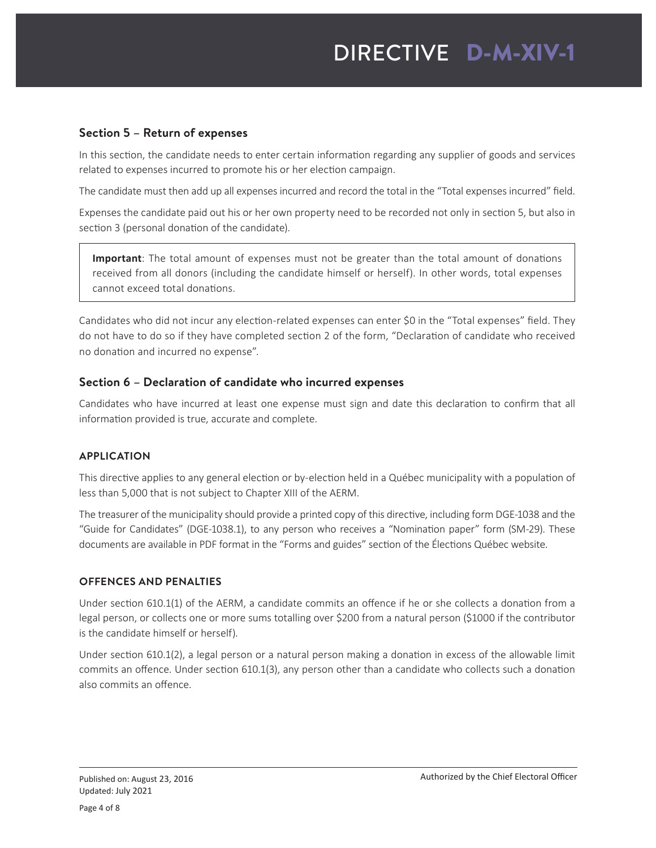# **Section 5 – Return of expenses**

In this section, the candidate needs to enter certain information regarding any supplier of goods and services related to expenses incurred to promote his or her election campaign.

The candidate must then add up all expenses incurred and record the total in the "Total expenses incurred" field.

Expenses the candidate paid out his or her own property need to be recorded not only in section 5, but also in section 3 (personal donation of the candidate).

**Important**: The total amount of expenses must not be greater than the total amount of donations received from all donors (including the candidate himself or herself). In other words, total expenses cannot exceed total donations.

Candidates who did not incur any election-related expenses can enter \$0 in the "Total expenses" field. They do not have to do so if they have completed section 2 of the form, "Declaration of candidate who received no donation and incurred no expense".

# **Section 6 – Declaration of candidate who incurred expenses**

Candidates who have incurred at least one expense must sign and date this declaration to confirm that all information provided is true, accurate and complete.

# **APPLICATION**

This directive applies to any general election or by-election held in a Québec municipality with a population of less than 5,000 that is not subject to Chapter XIII of the AERM.

The treasurer of the municipality should provide a printed copy of this directive, including form DGE-1038 and the "Guide for Candidates" (DGE-1038.1), to any person who receives a "Nomination paper" form (SM‑29). These documents are available in PDF format in the "Forms and guides" section of the Élections Québec website.

#### **OFFENCES AND PENALTIES**

Under section 610.1(1) of the AERM, a candidate commits an offence if he or she collects a donation from a legal person, or collects one or more sums totalling over \$200 from a natural person (\$1000 if the contributor is the candidate himself or herself).

Under section 610.1(2), a legal person or a natural person making a donation in excess of the allowable limit commits an offence. Under section 610.1(3), any person other than a candidate who collects such a donation also commits an offence.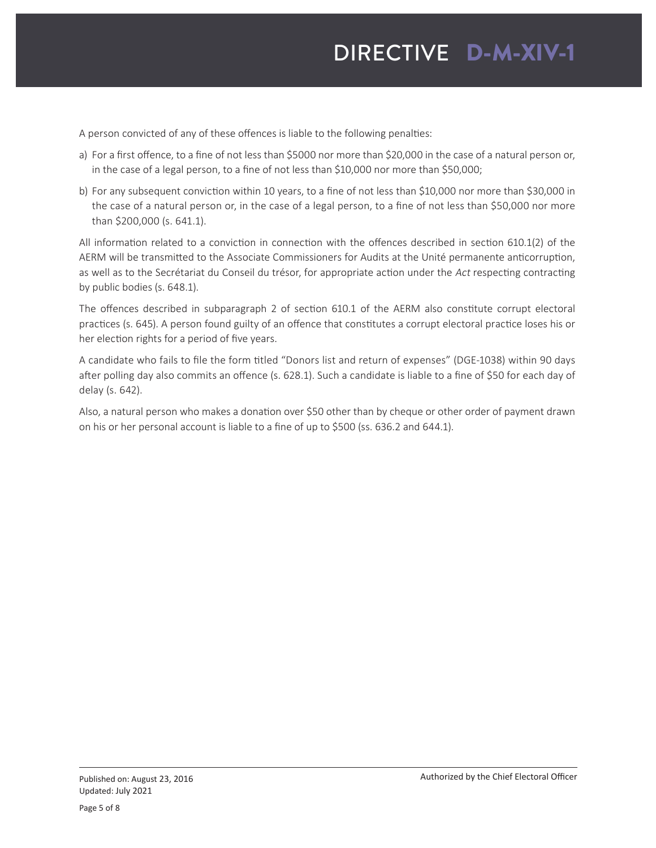# DIRECTIVE D-M-XIV-1

A person convicted of any of these offences is liable to the following penalties:

- a) For a first offence, to a fine of not less than \$5000 nor more than \$20,000 in the case of a natural person or, in the case of a legal person, to a fine of not less than \$10,000 nor more than \$50,000;
- b) For any subsequent conviction within 10 years, to a fine of not less than \$10,000 nor more than \$30,000 in the case of a natural person or, in the case of a legal person, to a fine of not less than \$50,000 nor more than \$200,000 (s. 641.1).

All information related to a conviction in connection with the offences described in section 610.1(2) of the AERM will be transmitted to the Associate Commissioners for Audits at the Unité permanente anticorruption, as well as to the Secrétariat du Conseil du trésor, for appropriate action under the Act respecting contracting by public bodies (s. 648.1).

The offences described in subparagraph 2 of section 610.1 of the AERM also constitute corrupt electoral practices (s. 645). A person found guilty of an offence that constitutes a corrupt electoral practice loses his or her election rights for a period of five years.

A candidate who fails to file the form titled "Donors list and return of expenses" (DGE-1038) within 90 days after polling day also commits an offence (s. 628.1). Such a candidate is liable to a fine of \$50 for each day of delay (s. 642).

Also, a natural person who makes a donation over \$50 other than by cheque or other order of payment drawn on his or her personal account is liable to a fine of up to \$500 (ss. 636.2 and 644.1).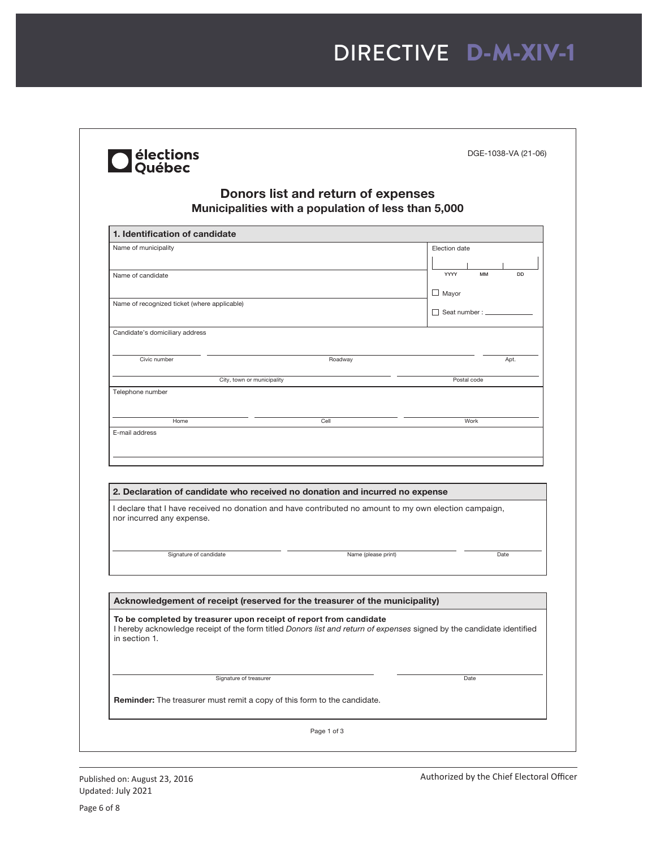| Name of municipality<br>Name of candidate                                                                                                                                                                           |                     | Election date               |
|---------------------------------------------------------------------------------------------------------------------------------------------------------------------------------------------------------------------|---------------------|-----------------------------|
|                                                                                                                                                                                                                     |                     |                             |
|                                                                                                                                                                                                                     |                     | <b>MM</b><br><b>DD</b>      |
|                                                                                                                                                                                                                     |                     | YYYY                        |
| Name of recognized ticket (where applicable)                                                                                                                                                                        |                     | $\Box$ Mayor                |
|                                                                                                                                                                                                                     |                     | $\Box$ Seat number : $\Box$ |
| Candidate's domiciliary address                                                                                                                                                                                     |                     |                             |
| Civic number                                                                                                                                                                                                        | Roadway             | Apt.                        |
|                                                                                                                                                                                                                     |                     |                             |
| City, town or municipality<br>Telephone number                                                                                                                                                                      |                     | Postal code                 |
|                                                                                                                                                                                                                     |                     |                             |
| Home                                                                                                                                                                                                                | Cell                | Work                        |
| 2. Declaration of candidate who received no donation and incurred no expense<br>I declare that I have received no donation and have contributed no amount to my own election campaign,<br>nor incurred any expense. |                     |                             |
| Signature of candidate                                                                                                                                                                                              | Name (please print) | Date                        |
| Acknowledgement of receipt (reserved for the treasurer of the municipality)                                                                                                                                         |                     |                             |
| To be completed by treasurer upon receipt of report from candidate<br>I hereby acknowledge receipt of the form titled Donors list and return of expenses signed by the candidate identified<br>in section 1.        |                     |                             |
|                                                                                                                                                                                                                     |                     |                             |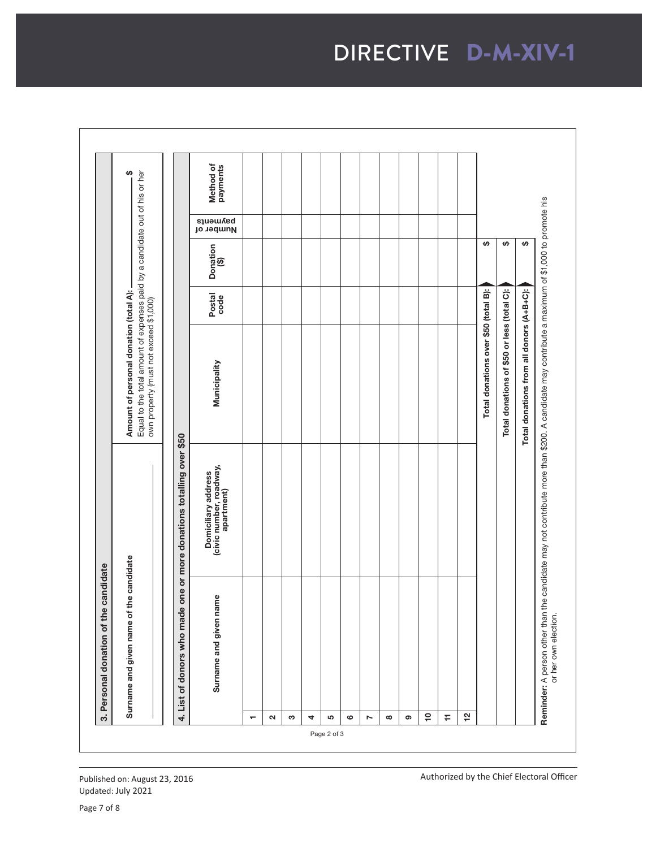suawhethod of<br>payments<br>all Amount of personal donation (total A):<br>Equal to the total amount of expenses paid by a candidate out of his or her<br>own property (must not exceed \$1,000) Equal to the total amount of expenses paid by a candidate out of his or her Surname and given name of the candidate Amount of personal donation (total A): \$ **Reminder:** A person other than the candidate may not contribute more than \$200. A candidate may contribute a maximum of \$1,000 to promote his<br>or her own election. Reminder: A person other than the candidate may not contribute more than \$200. A candidate may contribute a maximum of \$1,000 to promote his Number of  $\overline{ }$  $\overline{H}$  $\overline{v}$ Donation<br>(\$) Total donations over \$50 (total B): \$ Total donations of \$50 or less (total C):  $\blacklozenge$ Total donations from all donors (A+B+C): \$ Municipality Postal code Donation (\$) Total donations over \$50 (total B): Total donations of \$50 or less (total C): Total donations from all donors (A+B+C): Postal<br>code own property (must not exceed \$1,000)Municipality 4. List of donors who made one or more donations totalling over \$50 4. List of donors who made one or more donations totalling over \$50 Domiciliary address<br>(civic number, roadway,<br>apartment) (civic number, roadway, Domiciliary address apartment) Surname and given name of the candidate 3. Personal donation of the candidate 3. Personal donation of the candidate Surname and given name Surname and given name or her own election.  $\overline{e}$  $\pm$  $\overline{5}$ ุณ ო 4 ທ 6 2 8 ග — Page 2 of 3

Authorized by the Chief Electoral Officer